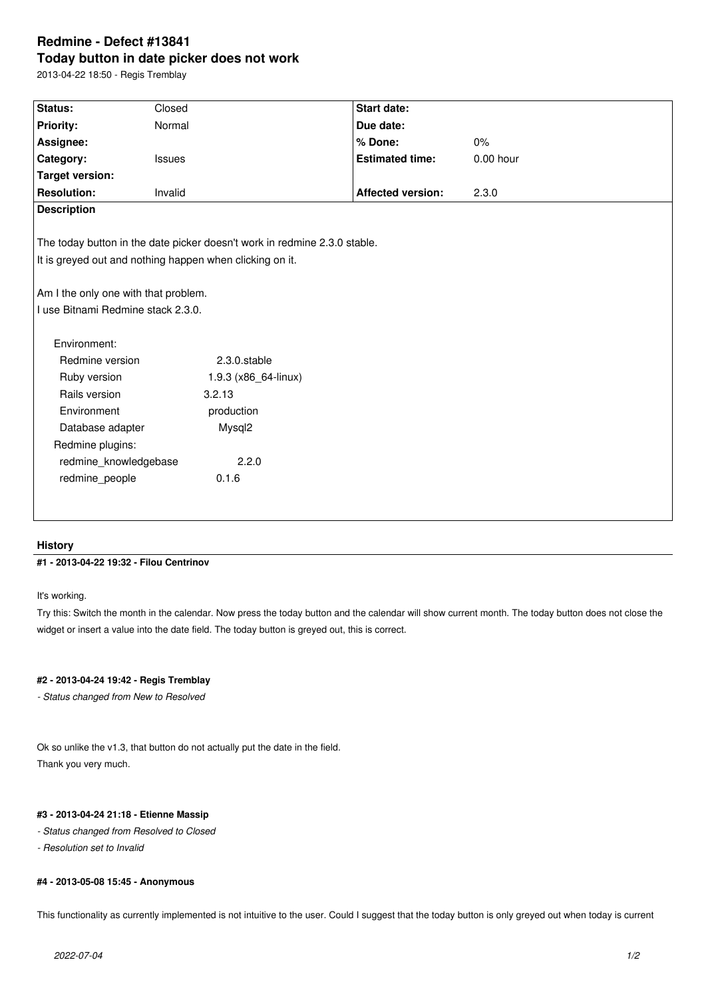# **Redmine - Defect #13841 Today button in date picker does not work**

2013-04-22 18:50 - Regis Tremblay

| Status:                                                                   | Closed               | <b>Start date:</b>       |           |
|---------------------------------------------------------------------------|----------------------|--------------------------|-----------|
| Priority:                                                                 | Normal               | Due date:                |           |
| Assignee:                                                                 |                      | % Done:                  | 0%        |
| Category:                                                                 | Issues               | <b>Estimated time:</b>   | 0.00 hour |
| <b>Target version:</b>                                                    |                      |                          |           |
| <b>Resolution:</b>                                                        | Invalid              | <b>Affected version:</b> | 2.3.0     |
| <b>Description</b>                                                        |                      |                          |           |
|                                                                           |                      |                          |           |
| The today button in the date picker doesn't work in redmine 2.3.0 stable. |                      |                          |           |
| It is greyed out and nothing happen when clicking on it.                  |                      |                          |           |
|                                                                           |                      |                          |           |
| Am I the only one with that problem.                                      |                      |                          |           |
| I use Bitnami Redmine stack 2.3.0.                                        |                      |                          |           |
|                                                                           |                      |                          |           |
| Environment:                                                              |                      |                          |           |
| Redmine version                                                           | 2.3.0.stable         |                          |           |
| Ruby version                                                              | 1.9.3 (x86_64-linux) |                          |           |
| Rails version                                                             | 3.2.13               |                          |           |
| Environment                                                               | production           |                          |           |
| Database adapter                                                          | Mysql2               |                          |           |
| Redmine plugins:                                                          |                      |                          |           |
| redmine knowledgebase                                                     | 2.2.0                |                          |           |
| redmine_people                                                            | 0.1.6                |                          |           |
|                                                                           |                      |                          |           |
|                                                                           |                      |                          |           |
|                                                                           |                      |                          |           |

### **History**

## **#1 - 2013-04-22 19:32 - Filou Centrinov**

It's working.

Try this: Switch the month in the calendar. Now press the today button and the calendar will show current month. The today button does not close the widget or insert a value into the date field. The today button is greyed out, this is correct.

# **#2 - 2013-04-24 19:42 - Regis Tremblay**

*- Status changed from New to Resolved*

Ok so unlike the v1.3, that button do not actually put the date in the field. Thank you very much.

### **#3 - 2013-04-24 21:18 - Etienne Massip**

- *Status changed from Resolved to Closed*
- *Resolution set to Invalid*

## **#4 - 2013-05-08 15:45 - Anonymous**

This functionality as currently implemented is not intuitive to the user. Could I suggest that the today button is only greyed out when today is current